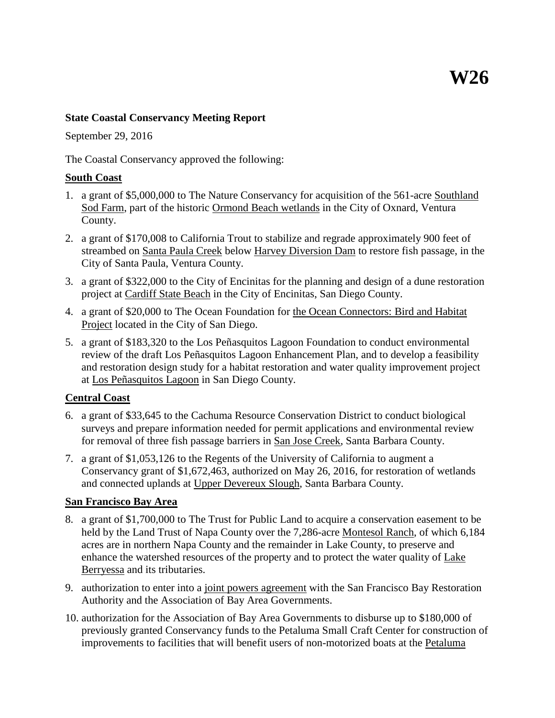#### **State Coastal Conservancy Meeting Report**

September 29, 2016

The Coastal Conservancy approved the following:

#### **South Coast**

- 1. a grant of \$5,000,000 to The Nature Conservancy for acquisition of the 561-acre Southland Sod Farm, part of the historic Ormond Beach wetlands in the City of Oxnard, Ventura County.
- 2. a grant of \$170,008 to California Trout to stabilize and regrade approximately 900 feet of streambed on Santa Paula Creek below Harvey Diversion Dam to restore fish passage, in the City of Santa Paula, Ventura County.
- 3. a grant of \$322,000 to the City of Encinitas for the planning and design of a dune restoration project at Cardiff State Beach in the City of Encinitas, San Diego County.
- 4. a grant of \$20,000 to The Ocean Foundation for the Ocean Connectors: Bird and Habitat Project located in the City of San Diego.
- 5. a grant of \$183,320 to the Los Peñasquitos Lagoon Foundation to conduct environmental review of the draft Los Peñasquitos Lagoon Enhancement Plan, and to develop a feasibility and restoration design study for a habitat restoration and water quality improvement project at Los Peñasquitos Lagoon in San Diego County.

## **Central Coast**

- 6. a grant of \$33,645 to the Cachuma Resource Conservation District to conduct biological surveys and prepare information needed for permit applications and environmental review for removal of three fish passage barriers in San Jose Creek, Santa Barbara County.
- 7. a grant of \$1,053,126 to the Regents of the University of California to augment a Conservancy grant of \$1,672,463, authorized on May 26, 2016, for restoration of wetlands and connected uplands at Upper Devereux Slough, Santa Barbara County.

## **San Francisco Bay Area**

- 8. a grant of \$1,700,000 to The Trust for Public Land to acquire a conservation easement to be held by the Land Trust of Napa County over the 7,286-acre Montesol Ranch, of which 6,184 acres are in northern Napa County and the remainder in Lake County, to preserve and enhance the watershed resources of the property and to protect the water quality of Lake Berryessa and its tributaries.
- 9. authorization to enter into a joint powers agreement with the San Francisco Bay Restoration Authority and the Association of Bay Area Governments.
- 10. authorization for the Association of Bay Area Governments to disburse up to \$180,000 of previously granted Conservancy funds to the Petaluma Small Craft Center for construction of improvements to facilities that will benefit users of non-motorized boats at the Petaluma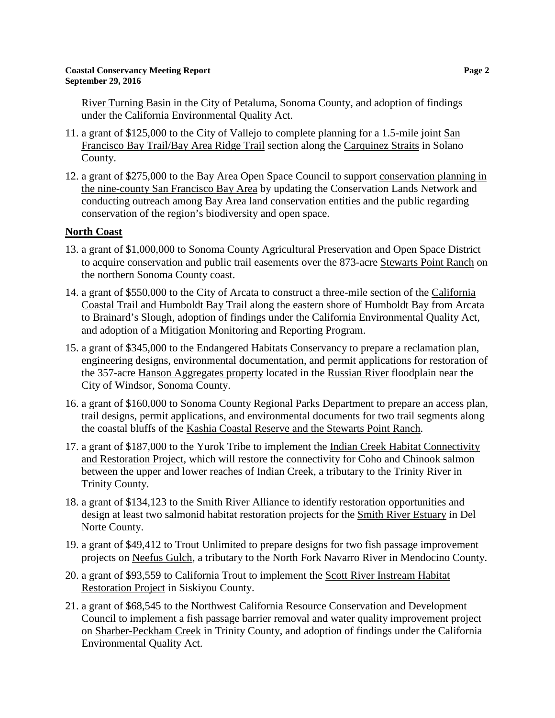River Turning Basin in the City of Petaluma, Sonoma County, and adoption of findings under the California Environmental Quality Act.

- 11. a grant of \$125,000 to the City of Vallejo to complete planning for a 1.5-mile joint San Francisco Bay Trail/Bay Area Ridge Trail section along the Carquinez Straits in Solano County.
- 12. a grant of \$275,000 to the Bay Area Open Space Council to support conservation planning in the nine-county San Francisco Bay Area by updating the Conservation Lands Network and conducting outreach among Bay Area land conservation entities and the public regarding conservation of the region's biodiversity and open space.

# **North Coast**

- 13. a grant of \$1,000,000 to Sonoma County Agricultural Preservation and Open Space District to acquire conservation and public trail easements over the 873-acre Stewarts Point Ranch on the northern Sonoma County coast.
- 14. a grant of \$550,000 to the City of Arcata to construct a three-mile section of the California Coastal Trail and Humboldt Bay Trail along the eastern shore of Humboldt Bay from Arcata to Brainard's Slough, adoption of findings under the California Environmental Quality Act, and adoption of a Mitigation Monitoring and Reporting Program.
- 15. a grant of \$345,000 to the Endangered Habitats Conservancy to prepare a reclamation plan, engineering designs, environmental documentation, and permit applications for restoration of the 357-acre Hanson Aggregates property located in the Russian River floodplain near the City of Windsor, Sonoma County.
- 16. a grant of \$160,000 to Sonoma County Regional Parks Department to prepare an access plan, trail designs, permit applications, and environmental documents for two trail segments along the coastal bluffs of the Kashia Coastal Reserve and the Stewarts Point Ranch.
- 17. a grant of \$187,000 to the Yurok Tribe to implement the Indian Creek Habitat Connectivity and Restoration Project, which will restore the connectivity for Coho and Chinook salmon between the upper and lower reaches of Indian Creek, a tributary to the Trinity River in Trinity County.
- 18. a grant of \$134,123 to the Smith River Alliance to identify restoration opportunities and design at least two salmonid habitat restoration projects for the **Smith River Estuary** in Del Norte County.
- 19. a grant of \$49,412 to Trout Unlimited to prepare designs for two fish passage improvement projects on Neefus Gulch, a tributary to the North Fork Navarro River in Mendocino County.
- 20. a grant of \$93,559 to California Trout to implement the Scott River Instream Habitat Restoration Project in Siskiyou County.
- 21. a grant of \$68,545 to the Northwest California Resource Conservation and Development Council to implement a fish passage barrier removal and water quality improvement project on Sharber-Peckham Creek in Trinity County, and adoption of findings under the California Environmental Quality Act.